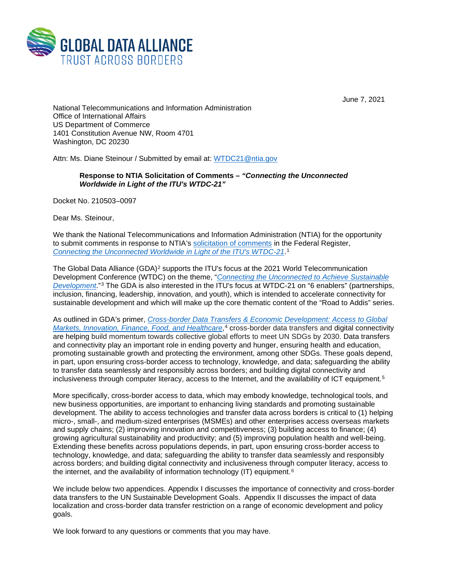

June 7, 2021

National Telecommunications and Information Administration Office of International Affairs US Department of Commerce 1401 Constitution Avenue NW, Room 4701 Washington, DC 20230

Attn: Ms. Diane Steinour / Submitted by email at: [WTDC21@ntia.gov](mailto:WTDC21@ntia.gov)

## **Response to NTIA Solicitation of Comments –** *"Connecting the Unconnected Worldwide in Light of the ITU's WTDC-21"*

Docket No. 210503–0097

Dear Ms. Steinour,

We thank the National Telecommunications and Information Administration (NTIA) for the opportunity to submit comments in response to NTIA's [solicitation of comments](https://www.ntia.gov/federal-register-notice/2021/request-comments-connecting-unconnected-worldwide-wtdc-21) in the Federal Register, *[Connecting the Unconnected Worldwide in Light of the ITU's WTDC-21](https://www.ntia.gov/federal-register-notice/2021/request-comments-connecting-unconnected-worldwide-wtdc-21)*.[1](#page-4-0)

The Global Data Alliance (GDA)<sup>[2](#page-4-1)</sup> supports the ITU's focus at the 2021 World Telecommunication Development Conference (WTDC) on the theme, "*[Connecting the Unconnected to Achieve Sustainable](https://www.itu.int/en/ITU-D/Conferences/WTDC/WTDC21/R2A/Pages/default.aspx)  [Development](https://www.itu.int/en/ITU-D/Conferences/WTDC/WTDC21/R2A/Pages/default.aspx)*."[3](#page-4-2) The GDA is also interested in the ITU's focus at WTDC-21 on "6 enablers" (partnerships, inclusion, financing, leadership, innovation, and youth), which is intended to accelerate connectivity for sustainable development and which will make up the core thematic content of the "Road to Addis" series.

As outlined in GDA's primer, *[Cross-border Data Transfers & Economic Development:](https://globaldataalliance.org/downloads/05062021econdevelopments1.pdf) Access to Global Markets, Innovation, Finance, Food, and Healthcare*,<sup>[4](#page-4-3)</sup> cross-border data transfers and digital connectivity are helping build momentum towards collective global efforts to meet UN SDGs by 2030. Data transfers and connectivity play an important role in ending poverty and hunger, ensuring health and education, promoting sustainable growth and protecting the environment, among other SDGs. These goals depend, in part, upon ensuring cross-border access to technology, knowledge, and data; safeguarding the ability to transfer data seamlessly and responsibly across borders; and building digital connectivity and inclusiveness through computer literacy, access to the Internet, and the availability of ICT equipment.<sup>[5](#page-4-4)</sup>

More specifically, cross-border access to data, which may embody knowledge, technological tools, and new business opportunities, are important to enhancing living standards and promoting sustainable development. The ability to access technologies and transfer data across borders is critical to (1) helping micro-, small-, and medium-sized enterprises (MSMEs) and other enterprises access overseas markets and supply chains; (2) improving innovation and competitiveness; (3) building access to finance; (4) growing agricultural sustainability and productivity; and (5) improving population health and well-being. Extending these benefits across populations depends, in part, upon ensuring cross-border access to technology, knowledge, and data; safeguarding the ability to transfer data seamlessly and responsibly across borders; and building digital connectivity and inclusiveness through computer literacy, access to the internet, and the availability of information technology (IT) equipment.<sup>[6](#page-4-5)</sup>

We include below two appendices. Appendix I discusses the importance of connectivity and cross-border data transfers to the UN Sustainable Development Goals. Appendix II discusses the impact of data localization and cross-border data transfer restriction on a range of economic development and policy goals.

We look forward to any questions or comments that you may have.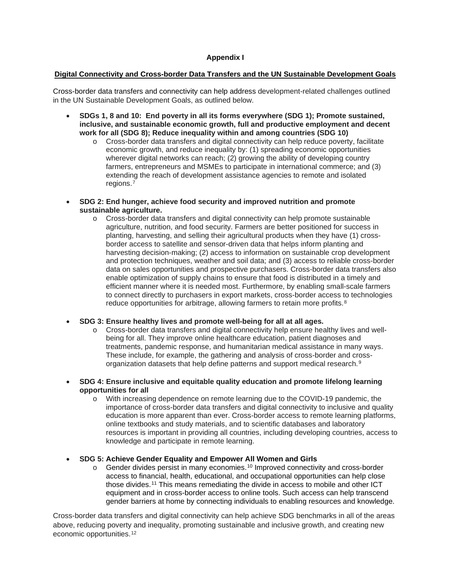# **Appendix I**

#### **Digital Connectivity and Cross-border Data Transfers and the UN Sustainable Development Goals**

Cross-border data transfers and connectivity can help address development-related challenges outlined in the UN Sustainable Development Goals, as outlined below.

- **SDGs 1, 8 and 10: End poverty in all its forms everywhere (SDG 1); Promote sustained, inclusive, and sustainable economic growth, full and productive employment and decent work for all (SDG 8); Reduce inequality within and among countries (SDG 10)**
	- o Cross-border data transfers and digital connectivity can help reduce poverty, facilitate economic growth, and reduce inequality by: (1) spreading economic opportunities wherever digital networks can reach; (2) growing the ability of developing country farmers, entrepreneurs and MSMEs to participate in international commerce; and (3) extending the reach of development assistance agencies to remote and isolated regions.[7](#page-4-6)
- **SDG 2: End hunger, achieve food security and improved nutrition and promote sustainable agriculture.**
	- o Cross-border data transfers and digital connectivity can help promote sustainable agriculture, nutrition, and food security. Farmers are better positioned for success in planting, harvesting, and selling their agricultural products when they have (1) crossborder access to satellite and sensor-driven data that helps inform planting and harvesting decision-making; (2) access to information on sustainable crop development and protection techniques, weather and soil data; and (3) access to reliable cross-border data on sales opportunities and prospective purchasers. Cross-border data transfers also enable optimization of supply chains to ensure that food is distributed in a timely and efficient manner where it is needed most. Furthermore, by enabling small-scale farmers to connect directly to purchasers in export markets, cross-border access to technologies reduce opportunities for arbitrage, allowing farmers to retain more profits.<sup>[8](#page-4-7)</sup>
- **SDG 3: Ensure healthy lives and promote well-being for all at all ages.**
	- o Cross-border data transfers and digital connectivity help ensure healthy lives and wellbeing for all. They improve online healthcare education, patient diagnoses and treatments, pandemic response, and humanitarian medical assistance in many ways. These include, for example, the gathering and analysis of cross-border and crossorganization datasets that help define patterns and support medical research.[9](#page-4-8)
- **SDG 4: Ensure inclusive and equitable quality education and promote lifelong learning opportunities for all**
	- o With increasing dependence on remote learning due to the COVID-19 pandemic, the importance of cross-border data transfers and digital connectivity to inclusive and quality education is more apparent than ever. Cross-border access to remote learning platforms, online textbooks and study materials, and to scientific databases and laboratory resources is important in providing all countries, including developing countries, access to knowledge and participate in remote learning.
- **SDG 5: Achieve Gender Equality and Empower All Women and Girls**
	- $\circ$  Gender divides persist in many economies.<sup>[10](#page-4-9)</sup> Improved connectivity and cross-border access to financial, health, educational, and occupational opportunities can help close those divides.[11](#page-5-0) This means remediating the divide in access to mobile and other ICT equipment and in cross-border access to online tools. Such access can help transcend gender barriers at home by connecting individuals to enabling resources and knowledge.

Cross-border data transfers and digital connectivity can help achieve SDG benchmarks in all of the areas above, reducing poverty and inequality, promoting sustainable and inclusive growth, and creating new economic opportunities.[12](#page-5-1)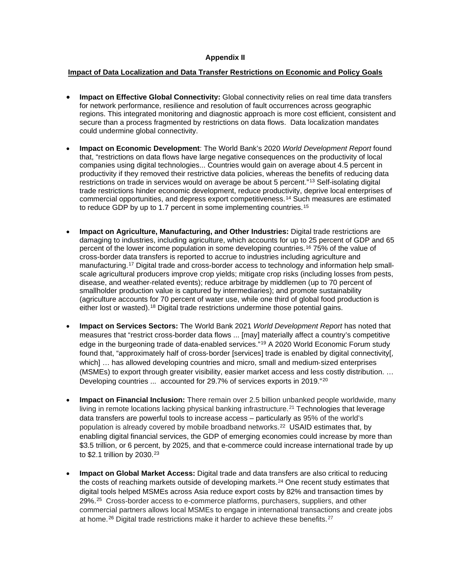## **Appendix II**

## **Impact of Data Localization and Data Transfer Restrictions on Economic and Policy Goals**

- **Impact on Effective Global Connectivity:** Global connectivity relies on real time data transfers for network performance, resilience and resolution of fault occurrences across geographic regions. This integrated monitoring and diagnostic approach is more cost efficient, consistent and secure than a process fragmented by restrictions on data flows. Data localization mandates could undermine global connectivity.
- **Impact on Economic Development**: The World Bank's 2020 *World Development Report* found that, "restrictions on data flows have large negative consequences on the productivity of local companies using digital technologies... Countries would gain on average about 4.5 percent in productivity if they removed their restrictive data policies, whereas the benefits of reducing data restrictions on trade in services would on average be about 5 percent."[13](#page-5-2) Self-isolating digital trade restrictions hinder economic development, reduce productivity, deprive local enterprises of commercial opportunities, and depress export competitiveness.[14](#page-5-3) Such measures are estimated to reduce GDP by up to 1.7 percent in some implementing countries.<sup>[15](#page-5-4)</sup>
- **Impact on Agriculture, Manufacturing, and Other Industries:** Digital trade restrictions are damaging to industries, including agriculture, which accounts for up to 25 percent of GDP and 65 percent of the lower income population in some developing countries.[16](#page-5-5) 75% of the value of cross-border data transfers is reported to accrue to industries including agriculture and manufacturing.[17](#page-5-6) Digital trade and cross-border access to technology and information help smallscale agricultural producers improve crop yields; mitigate crop risks (including losses from pests, disease, and weather-related events); reduce arbitrage by middlemen (up to 70 percent of smallholder production value is captured by intermediaries); and promote sustainability (agriculture accounts for 70 percent of water use, while one third of global food production is either lost or wasted).[18](#page-5-7) Digital trade restrictions undermine those potential gains.
- **Impact on Services Sectors:** The World Bank 2021 *World Development Report* has noted that measures that "restrict cross-border data flows ... [may] materially affect a country's competitive edge in the burgeoning trade of data-enabled services."<sup>[19](#page-5-8)</sup> A 2020 World Economic Forum study found that, "approximately half of cross-border [services] trade is enabled by digital connectivity[, which] ... has allowed developing countries and micro, small and medium-sized enterprises (MSMEs) to export through greater visibility, easier market access and less costly distribution. … Developing countries ... accounted for 29.7% of services exports in [20](#page-5-9)19."<sup>20</sup>
- **Impact on Financial Inclusion:** There remain over 2.5 billion unbanked people worldwide, many living in remote locations lacking physical banking infrastructure.<sup>[21](#page-5-10)</sup> Technologies that leverage data transfers are powerful tools to increase access – particularly as 95% of the world's population is already covered by mobile broadband networks.[22](#page-5-11) USAID estimates that, by enabling digital financial services, the GDP of emerging economies could increase by more than \$3.5 trillion, or 6 percent, by 2025, and that e-commerce could increase international trade by up to \$2.1 trillion by 2030.[23](#page-5-12)
- **Impact on Global Market Access:** Digital trade and data transfers are also critical to reducing the costs of reaching markets outside of developing markets.<sup>[24](#page-5-13)</sup> One recent study estimates that digital tools helped MSMEs across Asia reduce export costs by 82% and transaction times by 29%.[25](#page-5-14) Cross-border access to e-commerce platforms, purchasers, suppliers, and other commercial partners allows local MSMEs to engage in international transactions and create jobs at home.<sup>[26](#page-5-15)</sup> Digital trade restrictions make it harder to achieve these benefits.<sup>[27](#page-5-16)</sup>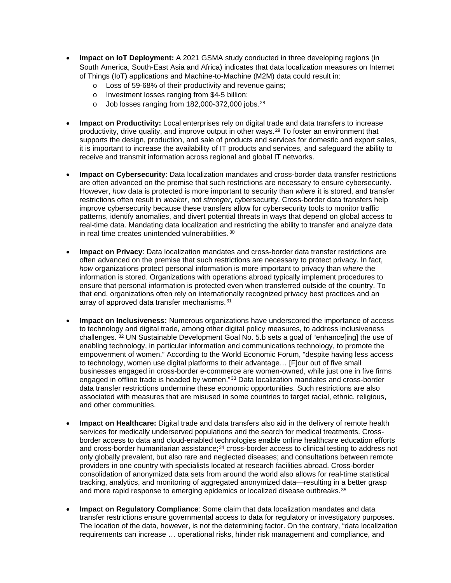- **Impact on IoT Deployment:** A 2021 GSMA study conducted in three developing regions (in South America, South‑East Asia and Africa) indicates that data localization measures on Internet of Things (IoT) applications and Machine-to-Machine (M2M) data could result in:
	- o Loss of 59‑68% of their productivity and revenue gains;
	- o Investment losses ranging from \$4‑5 billion;
	- o Job losses ranging from 182,000‑372,000 jobs.[28](#page-6-0)
- **Impact on Productivity:** Local enterprises rely on digital trade and data transfers to increase productivity, drive quality, and improve output in other ways.[29](#page-6-1) To foster an environment that supports the design, production, and sale of products and services for domestic and export sales, it is important to increase the availability of IT products and services, and safeguard the ability to receive and transmit information across regional and global IT networks.
- **Impact on Cybersecurity**: Data localization mandates and cross-border data transfer restrictions are often advanced on the premise that such restrictions are necessary to ensure cybersecurity. However, *how* data is protected is more important to security than *where* it is stored, and transfer restrictions often result in *weaker*, not *stronger*, cybersecurity. Cross-border data transfers help improve cybersecurity because these transfers allow for cybersecurity tools to monitor traffic patterns, identify anomalies, and divert potential threats in ways that depend on global access to real-time data. Mandating data localization and restricting the ability to transfer and analyze data in real time creates unintended vulnerabilities.<sup>[30](#page-6-2)</sup>
- **Impact on Privacy**: Data localization mandates and cross-border data transfer restrictions are often advanced on the premise that such restrictions are necessary to protect privacy. In fact, *how* organizations protect personal information is more important to privacy than *where* the information is stored. Organizations with operations abroad typically implement procedures to ensure that personal information is protected even when transferred outside of the country. To that end, organizations often rely on internationally recognized privacy best practices and an array of approved data transfer mechanisms.[31](#page-6-3)
- **Impact on Inclusiveness:** Numerous organizations have underscored the importance of access to technology and digital trade, among other digital policy measures, to address inclusiveness challenges. [32](#page-6-4) UN Sustainable Development Goal No. 5.b sets a goal of "enhance[ing] the use of enabling technology, in particular information and communications technology, to promote the empowerment of women." According to the World Economic Forum, "despite having less access to technology, women use digital platforms to their advantage… [F]our out of five small businesses engaged in cross-border e-commerce are women-owned, while just one in five firms engaged in offline trade is headed by women."[33](#page-6-5) Data localization mandates and cross-border data transfer restrictions undermine these economic opportunities. Such restrictions are also associated with measures that are misused in some countries to target racial, ethnic, religious, and other communities.
- **Impact on Healthcare:** Digital trade and data transfers also aid in the delivery of remote health services for medically underserved populations and the search for medical treatments. Crossborder access to data and cloud-enabled technologies enable online healthcare education efforts and cross-border humanitarian assistance;<sup>[34](#page-6-6)</sup> cross-border access to clinical testing to address not only globally prevalent, but also rare and neglected diseases; and consultations between remote providers in one country with specialists located at research facilities abroad. Cross-border consolidation of anonymized data sets from around the world also allows for real-time statistical tracking, analytics, and monitoring of aggregated anonymized data—resulting in a better grasp and more rapid response to emerging epidemics or localized disease outbreaks.<sup>[35](#page-6-7)</sup>
- **Impact on Regulatory Compliance**: Some claim that data localization mandates and data transfer restrictions ensure governmental access to data for regulatory or investigatory purposes. The location of the data, however, is not the determining factor. On the contrary, "data localization requirements can increase … operational risks, hinder risk management and compliance, and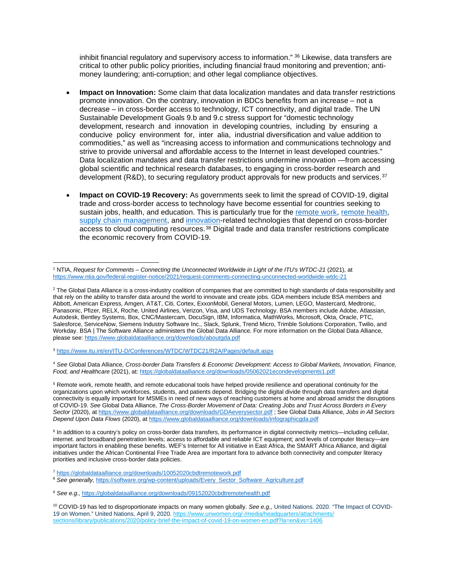inhibit financial regulatory and supervisory access to information." <sup>[36](#page-6-8)</sup> Likewise, data transfers are critical to other public policy priorities, including financial fraud monitoring and prevention; antimoney laundering; anti-corruption; and other legal compliance objectives.

- **Impact on Innovation:** Some claim that data localization mandates and data transfer restrictions promote innovation. On the contrary, innovation in BDCs benefits from an increase – not a decrease – in cross-border access to technology, ICT connectivity, and digital trade. The UN Sustainable Development Goals 9.b and 9.c stress support for "domestic technology development, research and innovation in developing countries, including by ensuring a conducive policy environment for, inter alia, industrial diversification and value addition to commodities," as well as "increasing access to information and communications technology and strive to provide universal and affordable access to the Internet in least developed countries." Data localization mandates and data transfer restrictions undermine innovation —from accessing global scientific and technical research databases, to engaging in cross-border research and development (R&D), to securing regulatory product approvals for new products and services.<sup>[37](#page-6-9)</sup>
- **Impact on COVID-19 Recovery:** As governments seek to limit the spread of COVID-19, digital trade and cross-border access to technology have become essential for countries seeking to sustain jobs, health, and education. This is particularly true for the [remote work,](https://globaldataalliance.org/downloads/10052020cbdtremotework.pdf) [remote health,](https://globaldataalliance.org/downloads/09152020cbdtremotehealth.pdf) [supply chain management,](https://globaldataalliance.org/downloads/03182021gdaprimersupplychain.pdf) and [innovation-](https://globaldataalliance.org/downloads/04012021cbdtinnovation.pdf)related technologies that depend on cross-border access to cloud computing resources.[38](#page-6-10) Digital trade and data transfer restrictions complicate the economic recovery from COVID-19.

<span id="page-4-2"></span><sup>3</sup> <https://www.itu.int/en/ITU-D/Conferences/WTDC/WTDC21/R2A/Pages/default.aspx>

<span id="page-4-3"></span><sup>4</sup> *See* Global Data Alliance, *Cross-border Data Transfers & Economic Development: Access to Global Markets, Innovation, Finance, Food, and Healthcare* (2021), at:<https://globaldataalliance.org/downloads/05062021econdevelopments1.pdf>

<span id="page-4-4"></span><sup>5</sup> Remote work, remote health, and remote educational tools have helped provide resilience and operational continuity for the organizations upon which workforces, students, and patients depend. Bridging the digital divide through data transfers and digital connectivity is equally important for MSMEs in need of new ways of reaching customers at home and abroad amidst the disruptions of COVID-19. *See* Global Data Alliance, *The Cross-Border Movement of Data: Creating Jobs and Trust Across Borders in Every Sector* (2020), at<https://www.globaldataalliance.org/downloads/GDAeverysector.pdf> ; See Global Data Alliance, *Jobs in All Sectors Depend Upon Data Flows* (2020), a[t https://www.globaldataalliance.org/downloads/infographicgda.pdf](https://www.globaldataalliance.org/downloads/infographicgda.pdf)

<span id="page-4-5"></span><sup>6</sup> In addition to a country's policy on cross-border data transfers, its performance in digital connectivity metrics—including cellular, internet. and broadband penetration levels; access to affordable and reliable ICT equipment; and levels of computer literacy—are important factors in enabling these benefits. WEF's Internet for All initiative in East Africa, the SMART Africa Alliance, and digital initiatives under the African Continental Free Trade Area are important fora to advance both connectivity and computer literacy priorities and inclusive cross-border data policies.

<span id="page-4-6"></span><sup>7</sup> <https://globaldataalliance.org/downloads/10052020cbdtremotework.pdf>

<span id="page-4-8"></span><sup>9</sup> *See e.g.,* <https://globaldataalliance.org/downloads/09152020cbdtremotehealth.pdf>

<span id="page-4-0"></span><sup>1</sup> NTIA, *Request for Comments – Connecting the Unconnected Worldwide in Light of the ITU's WTDC-21* (2021), at <https://www.ntia.gov/federal-register-notice/2021/request-comments-connecting-unconnected-worldwide-wtdc-21>

<span id="page-4-1"></span><sup>&</sup>lt;sup>2</sup> The Global Data Alliance is a cross-industry coalition of companies that are committed to high standards of data responsibility and that rely on the ability to transfer data around the world to innovate and create jobs. GDA members include BSA members and Abbott, American Express, Amgen, AT&T, Citi, Cortex, ExxonMobil, General Motors, Lumen, LEGO, Mastercard, Medtronic, Panasonic, Pfizer, RELX, Roche, United Airlines, Verizon, Visa, and UDS Technology. BSA members include Adobe, Atlassian, Autodesk, Bentley Systems, Box, CNC/Mastercam, DocuSign, IBM, Informatica, MathWorks, Microsoft, Okta, Oracle, PTC, Salesforce, ServiceNow, Siemens Industry Software Inc., Slack, Splunk, Trend Micro, Trimble Solutions Corporation, Twilio, and Workday. BSA | The Software Alliance administers the Global Data Alliance. For more information on the Global Data Alliance, please see:<https://www.globaldataalliance.org/downloads/aboutgda.pdf>

<span id="page-4-7"></span><sup>&</sup>lt;sup>8</sup> See generally, [https://software.org/wp-content/uploads/Every\\_Sector\\_Software\\_Agriculture.pdf](https://software.org/wp-content/uploads/Every_Sector_Software_Agriculture.pdf)

<span id="page-4-9"></span><sup>&</sup>lt;sup>10</sup> COVID-19 has led to disproportionate impacts on many women globally. See e.g., United Nations. 2020. "The Impact of COVID-19 on Women." United Nations, April 9, 2020. https://www.unwomen.org/-/media/headquarters/attachments/ sections/library/publications/2020/policy-brief-the-impact-of-covid-19-on-women-en.pdf?la=en&vs=1406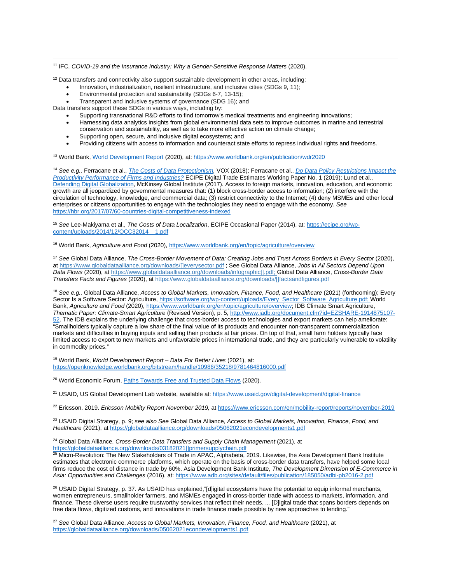#### <span id="page-5-0"></span><sup>11</sup> IFC, *COVID-19 and the Insurance Industry: Why a Gender-Sensitive Response Matters* (2020).

<span id="page-5-1"></span> $12$  Data transfers and connectivity also support sustainable development in other areas, including:

- Innovation, industrialization, resilient infrastructure, and inclusive cities (SDGs 9, 11);
- Environmental protection and sustainability (SDGs 6-7, 13-15);
- Transparent and inclusive systems of governance (SDG 16); and

Data transfers support these SDGs in various ways, including by:

• Supporting transnational R&D efforts to find tomorrow's medical treatments and engineering innovations;

- Harnessing data analytics insights from global environmental data sets to improve outcomes in marine and terrestrial conservation and sustainability, as well as to take more effective action on climate change;
- Supporting open, secure, and inclusive digital ecosystems; and
- Providing citizens with access to information and counteract state efforts to repress individual rights and freedoms.

<span id="page-5-2"></span><sup>13</sup> World Bank[, World Development Report](https://www.worldbank.org/en/publication/wdr2020) (2020), at:<https://www.worldbank.org/en/publication/wdr2020>

<span id="page-5-3"></span><sup>14</sup> *See e.g.,* Ferracane et al., *[The Costs of Data Protectionism,](https://voxeu.org/article/cost-data-protectionism)* VOX (2018); Ferracane et al., *[Do Data Policy Restrictions Impact the](https://ecipe.org/wp-content/uploads/2018/10/Do-Data-Policy-Restrictions-Impact-the-Productivity-Performance-of-Firms-and-Industries-final.pdf)  [Productivity Performance of Firms and Industries?](https://ecipe.org/wp-content/uploads/2018/10/Do-Data-Policy-Restrictions-Impact-the-Productivity-Performance-of-Firms-and-Industries-final.pdf)* ECIPE Digital Trade Estimates Working Paper No. 1 (2019); Lund et al., [Defending Digital Globalization,](https://www.mckinsey.com/mgi/overview/in-the-news/defending-digital-globalization) McKinsey Global Institute (2017). Access to foreign markets, innovation, education, and economic growth are all jeopardized by governmental measures that: (1) block cross-border access to information; (2) interfere with the circulation of technology, knowledge, and commercial data; (3) restrict connectivity to the Internet; (4) deny MSMEs and other local enterprises or citizens opportunities to engage with the technologies they need to engage with the economy. *See*  <https://hbr.org/2017/07/60-countries-digital-competitiveness-indexed>

<span id="page-5-4"></span><sup>15</sup> *See* Lee-Makiyama et al., *The Costs of Data Localization*, ECIPE Occasional Paper (2014), at[: https://ecipe.org/wp](https://ecipe.org/wp-content/uploads/2014/12/OCC32014__1.pdf)[content/uploads/2014/12/OCC32014\\_\\_1.pdf](https://ecipe.org/wp-content/uploads/2014/12/OCC32014__1.pdf) 

<span id="page-5-5"></span><sup>16</sup> World Bank, *Agriculture and Food* (2020)[, https://www.worldbank.org/en/topic/agriculture/overview](https://www.worldbank.org/en/topic/agriculture/overview)

<span id="page-5-6"></span><sup>17</sup> *See* Global Data Alliance, *The Cross-Border Movement of Data: Creating Jobs and Trust Across Borders in Every Sector* (2020), at [https://www.globaldataalliance.org/downloads/\[\]everysector.pdf](https://www.globaldataalliance.org/downloads/GDAeverysector.pdf) ; See Global Data Alliance, *Jobs in All Sectors Depend Upon Data Flows* (2020), a[t https://www.globaldataalliance.org/downloads/infographic\[\].pdf;](https://www.globaldataalliance.org/downloads/infographicgda.pdf) Global Data Alliance, *Cross-Border Data Transfers Facts and Figures* (2020), a[t https://www.globaldataalliance.org/downloads/\[\]factsandfigures.pdf](https://www.globaldataalliance.org/downloads/gdafactsandfigures.pdf)

<span id="page-5-7"></span><sup>18</sup> *See e.g.,* Global Data Alliance, *Access to Global Markets, Innovation, Finance, Food, and Healthcare* (2021) (forthcoming); Every Sector Is a Software Sector: Agriculture[, https://software.org/wp-content/uploads/Every\\_Sector\\_Software\\_Agriculture.pdf;](https://software.org/wp-content/uploads/Every_Sector_Software_Agriculture.pdf) World Bank, *Agriculture and Food* (2020)[, https://www.worldbank.org/en/topic/agriculture/overview;](https://www.worldbank.org/en/topic/agriculture/overview) IDB Climate Smart Agriculture, *Thematic Paper: Climate-Smart Agriculture* (Revised Version), p. 5[, http://www.iadb.org/document.cfm?id=EZSHARE-1914875107-](http://www.iadb.org/document.cfm?id=EZSHARE-1914875107-52) [52.](http://www.iadb.org/document.cfm?id=EZSHARE-1914875107-52) The IDB explains the underlying challenge that cross-border access to technologies and export markets can help ameliorate: "Smallholders typically capture a low share of the final value of its products and encounter non-transparent commercialization markets and difficulties in buying inputs and selling their products at fair prices. On top of that, small farm holders typically face limited access to export to new markets and unfavorable prices in international trade, and they are particularly vulnerable to volatility in commodity prices."

<span id="page-5-8"></span><sup>19</sup> World Bank, *World Development Report – Data For Better Lives* (2021), at: <https://openknowledge.worldbank.org/bitstream/handle/10986/35218/9781464816000.pdf>

<span id="page-5-9"></span><sup>20</sup> World Economic Forum, *Paths Towards Free and Trusted Data Flows* (2020).

<span id="page-5-10"></span><sup>21</sup> USAID, US Global Development Lab website, available at:<https://www.usaid.gov/digital-development/digital-finance>

<span id="page-5-11"></span><sup>22</sup> Ericsson. 2019. *Ericsson Mobility Report November 2019,* at<https://www.ericsson.com/en/mobility-report/reports/november-2019>

<span id="page-5-12"></span><sup>23</sup> USAID Digital Strategy, p. 9; *see also See* Global Data Alliance, *Access to Global Markets, Innovation, Finance, Food, and Healthcare* (2021), a[t https://globaldataalliance.org/downloads/05062021econdevelopments1.pdf](https://globaldataalliance.org/downloads/05062021econdevelopments1.pdf)

<span id="page-5-13"></span><sup>24</sup> Global Data Alliance, *Cross-Border Data Transfers and Supply Chain Management* (2021), at [https://globaldataalliance.org/downloads/03182021\[\]primersupplychain.pdf](https://globaldataalliance.org/downloads/03182021gdaprimersupplychain.pdf)

<span id="page-5-14"></span> $^{25}$  Micro-Revolution: The New Stakeholders of Trade in APAC, Alphabeta, 2019. Likewise, the Asia Development Bank Institute estimates that electronic commerce platforms, which operate on the basis of cross-border data transfers, have helped some local firms reduce the cost of distance in trade by 60%. Asia Development Bank Institute, *The Development Dimension of E-Commerce in Asia: Opportunities and Challenges* (2016), at[: https://www.adb.org/sites/default/files/publication/185050/adbi-pb2016-2.pdf](https://www.adb.org/sites/default/files/publication/185050/adbi-pb2016-2.pdf)

<span id="page-5-15"></span><sup>26</sup> USAID Digital Strategy, p. 37. As USAID has explained,"[d]igital ecosystems have the potential to equip informal merchants, women entrepreneurs, smallholder farmers, and MSMEs engaged in cross-border trade with access to markets, information, and finance. These diverse users require trustworthy services that reflect their needs. ... [D]igital trade that spans borders depends on free data flows, digitized customs, and innovations in trade finance made possible by new approaches to lending."

<span id="page-5-16"></span><sup>27</sup> *See* Global Data Alliance, *Access to Global Markets, Innovation, Finance, Food, and Healthcare* (2021), at <https://globaldataalliance.org/downloads/05062021econdevelopments1.pdf>